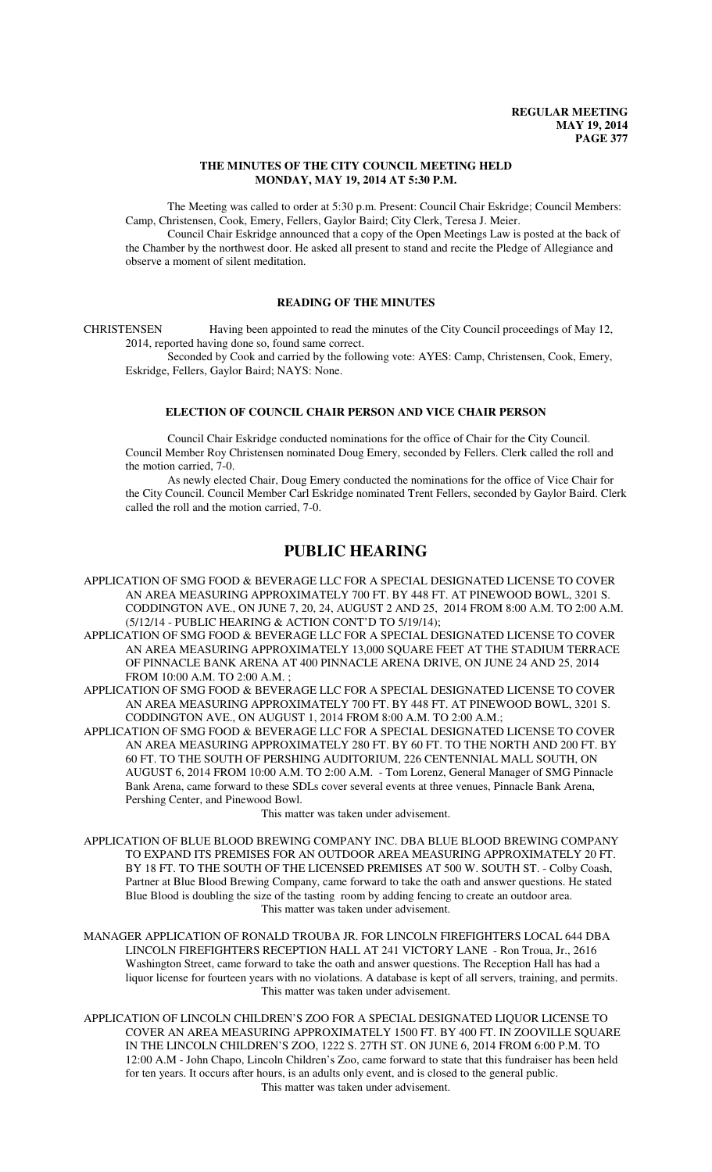#### **THE MINUTES OF THE CITY COUNCIL MEETING HELD MONDAY, MAY 19, 2014 AT 5:30 P.M.**

The Meeting was called to order at 5:30 p.m. Present: Council Chair Eskridge; Council Members: Camp, Christensen, Cook, Emery, Fellers, Gaylor Baird; City Clerk, Teresa J. Meier.

Council Chair Eskridge announced that a copy of the Open Meetings Law is posted at the back of the Chamber by the northwest door. He asked all present to stand and recite the Pledge of Allegiance and observe a moment of silent meditation.

#### **READING OF THE MINUTES**

CHRISTENSEN Having been appointed to read the minutes of the City Council proceedings of May 12, 2014, reported having done so, found same correct.

Seconded by Cook and carried by the following vote: AYES: Camp, Christensen, Cook, Emery, Eskridge, Fellers, Gaylor Baird; NAYS: None.

## **ELECTION OF COUNCIL CHAIR PERSON AND VICE CHAIR PERSON**

Council Chair Eskridge conducted nominations for the office of Chair for the City Council. Council Member Roy Christensen nominated Doug Emery, seconded by Fellers. Clerk called the roll and the motion carried, 7-0.

As newly elected Chair, Doug Emery conducted the nominations for the office of Vice Chair for the City Council. Council Member Carl Eskridge nominated Trent Fellers, seconded by Gaylor Baird. Clerk called the roll and the motion carried, 7-0.

# **PUBLIC HEARING**

- APPLICATION OF SMG FOOD & BEVERAGE LLC FOR A SPECIAL DESIGNATED LICENSE TO COVER AN AREA MEASURING APPROXIMATELY 700 FT. BY 448 FT. AT PINEWOOD BOWL, 3201 S. CODDINGTON AVE., ON JUNE 7, 20, 24, AUGUST 2 AND 25, 2014 FROM 8:00 A.M. TO 2:00 A.M. (5/12/14 - PUBLIC HEARING & ACTION CONT'D TO 5/19/14);
- APPLICATION OF SMG FOOD & BEVERAGE LLC FOR A SPECIAL DESIGNATED LICENSE TO COVER AN AREA MEASURING APPROXIMATELY 13,000 SQUARE FEET AT THE STADIUM TERRACE OF PINNACLE BANK ARENA AT 400 PINNACLE ARENA DRIVE, ON JUNE 24 AND 25, 2014 FROM 10:00 A.M. TO 2:00 A.M. ;
- APPLICATION OF SMG FOOD & BEVERAGE LLC FOR A SPECIAL DESIGNATED LICENSE TO COVER AN AREA MEASURING APPROXIMATELY 700 FT. BY 448 FT. AT PINEWOOD BOWL, 3201 S. CODDINGTON AVE., ON AUGUST 1, 2014 FROM 8:00 A.M. TO 2:00 A.M.;
- APPLICATION OF SMG FOOD & BEVERAGE LLC FOR A SPECIAL DESIGNATED LICENSE TO COVER AN AREA MEASURING APPROXIMATELY 280 FT. BY 60 FT. TO THE NORTH AND 200 FT. BY 60 FT. TO THE SOUTH OF PERSHING AUDITORIUM, 226 CENTENNIAL MALL SOUTH, ON AUGUST 6, 2014 FROM 10:00 A.M. TO 2:00 A.M. - Tom Lorenz, General Manager of SMG Pinnacle Bank Arena, came forward to these SDLs cover several events at three venues, Pinnacle Bank Arena, Pershing Center, and Pinewood Bowl.

This matter was taken under advisement.

- APPLICATION OF BLUE BLOOD BREWING COMPANY INC. DBA BLUE BLOOD BREWING COMPANY TO EXPAND ITS PREMISES FOR AN OUTDOOR AREA MEASURING APPROXIMATELY 20 FT. BY 18 FT. TO THE SOUTH OF THE LICENSED PREMISES AT 500 W. SOUTH ST. - Colby Coash, Partner at Blue Blood Brewing Company, came forward to take the oath and answer questions. He stated Blue Blood is doubling the size of the tasting room by adding fencing to create an outdoor area. This matter was taken under advisement.
- MANAGER APPLICATION OF RONALD TROUBA JR. FOR LINCOLN FIREFIGHTERS LOCAL 644 DBA LINCOLN FIREFIGHTERS RECEPTION HALL AT 241 VICTORY LANE - Ron Troua, Jr., 2616 Washington Street, came forward to take the oath and answer questions. The Reception Hall has had a liquor license for fourteen years with no violations. A database is kept of all servers, training, and permits. This matter was taken under advisement.
- APPLICATION OF LINCOLN CHILDREN'S ZOO FOR A SPECIAL DESIGNATED LIQUOR LICENSE TO COVER AN AREA MEASURING APPROXIMATELY 1500 FT. BY 400 FT. IN ZOOVILLE SQUARE IN THE LINCOLN CHILDREN'S ZOO, 1222 S. 27TH ST. ON JUNE 6, 2014 FROM 6:00 P.M. TO 12:00 A.M - John Chapo, Lincoln Children's Zoo, came forward to state that this fundraiser has been held for ten years. It occurs after hours, is an adults only event, and is closed to the general public. This matter was taken under advisement.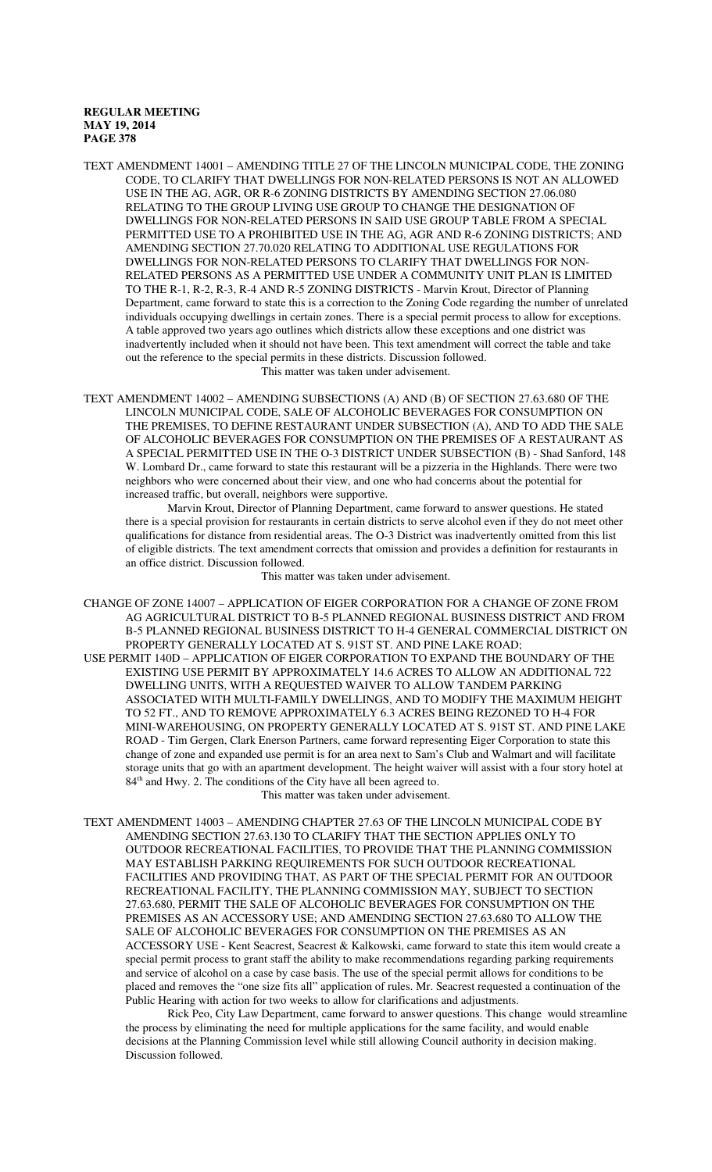- TEXT AMENDMENT 14001 AMENDING TITLE 27 OF THE LINCOLN MUNICIPAL CODE, THE ZONING CODE, TO CLARIFY THAT DWELLINGS FOR NON-RELATED PERSONS IS NOT AN ALLOWED USE IN THE AG, AGR, OR R-6 ZONING DISTRICTS BY AMENDING SECTION 27.06.080 RELATING TO THE GROUP LIVING USE GROUP TO CHANGE THE DESIGNATION OF DWELLINGS FOR NON-RELATED PERSONS IN SAID USE GROUP TABLE FROM A SPECIAL PERMITTED USE TO A PROHIBITED USE IN THE AG, AGR AND R-6 ZONING DISTRICTS; AND AMENDING SECTION 27.70.020 RELATING TO ADDITIONAL USE REGULATIONS FOR DWELLINGS FOR NON-RELATED PERSONS TO CLARIFY THAT DWELLINGS FOR NON-RELATED PERSONS AS A PERMITTED USE UNDER A COMMUNITY UNIT PLAN IS LIMITED TO THE R-1, R-2, R-3, R-4 AND R-5 ZONING DISTRICTS - Marvin Krout, Director of Planning Department, came forward to state this is a correction to the Zoning Code regarding the number of unrelated individuals occupying dwellings in certain zones. There is a special permit process to allow for exceptions. A table approved two years ago outlines which districts allow these exceptions and one district was inadvertently included when it should not have been. This text amendment will correct the table and take out the reference to the special permits in these districts. Discussion followed. This matter was taken under advisement.
- TEXT AMENDMENT 14002 AMENDING SUBSECTIONS (A) AND (B) OF SECTION 27.63.680 OF THE LINCOLN MUNICIPAL CODE, SALE OF ALCOHOLIC BEVERAGES FOR CONSUMPTION ON THE PREMISES, TO DEFINE RESTAURANT UNDER SUBSECTION (A), AND TO ADD THE SALE OF ALCOHOLIC BEVERAGES FOR CONSUMPTION ON THE PREMISES OF A RESTAURANT AS A SPECIAL PERMITTED USE IN THE O-3 DISTRICT UNDER SUBSECTION (B) - Shad Sanford, 148 W. Lombard Dr., came forward to state this restaurant will be a pizzeria in the Highlands. There were two neighbors who were concerned about their view, and one who had concerns about the potential for increased traffic, but overall, neighbors were supportive.

Marvin Krout, Director of Planning Department, came forward to answer questions. He stated there is a special provision for restaurants in certain districts to serve alcohol even if they do not meet other qualifications for distance from residential areas. The O-3 District was inadvertently omitted from this list of eligible districts. The text amendment corrects that omission and provides a definition for restaurants in an office district. Discussion followed.

This matter was taken under advisement.

CHANGE OF ZONE 14007 – APPLICATION OF EIGER CORPORATION FOR A CHANGE OF ZONE FROM AG AGRICULTURAL DISTRICT TO B-5 PLANNED REGIONAL BUSINESS DISTRICT AND FROM B-5 PLANNED REGIONAL BUSINESS DISTRICT TO H-4 GENERAL COMMERCIAL DISTRICT ON PROPERTY GENERALLY LOCATED AT S. 91ST ST. AND PINE LAKE ROAD;

USE PERMIT 140D – APPLICATION OF EIGER CORPORATION TO EXPAND THE BOUNDARY OF THE EXISTING USE PERMIT BY APPROXIMATELY 14.6 ACRES TO ALLOW AN ADDITIONAL 722 DWELLING UNITS, WITH A REQUESTED WAIVER TO ALLOW TANDEM PARKING ASSOCIATED WITH MULTI-FAMILY DWELLINGS, AND TO MODIFY THE MAXIMUM HEIGHT TO 52 FT., AND TO REMOVE APPROXIMATELY 6.3 ACRES BEING REZONED TO H-4 FOR MINI-WAREHOUSING, ON PROPERTY GENERALLY LOCATED AT S. 91ST ST. AND PINE LAKE ROAD - Tim Gergen, Clark Enerson Partners, came forward representing Eiger Corporation to state this change of zone and expanded use permit is for an area next to Sam's Club and Walmart and will facilitate storage units that go with an apartment development. The height waiver will assist with a four story hotel at 84<sup>th</sup> and Hwy. 2. The conditions of the City have all been agreed to.

This matter was taken under advisement.

TEXT AMENDMENT 14003 – AMENDING CHAPTER 27.63 OF THE LINCOLN MUNICIPAL CODE BY AMENDING SECTION 27.63.130 TO CLARIFY THAT THE SECTION APPLIES ONLY TO OUTDOOR RECREATIONAL FACILITIES, TO PROVIDE THAT THE PLANNING COMMISSION MAY ESTABLISH PARKING REQUIREMENTS FOR SUCH OUTDOOR RECREATIONAL FACILITIES AND PROVIDING THAT, AS PART OF THE SPECIAL PERMIT FOR AN OUTDOOR RECREATIONAL FACILITY, THE PLANNING COMMISSION MAY, SUBJECT TO SECTION 27.63.680, PERMIT THE SALE OF ALCOHOLIC BEVERAGES FOR CONSUMPTION ON THE PREMISES AS AN ACCESSORY USE; AND AMENDING SECTION 27.63.680 TO ALLOW THE SALE OF ALCOHOLIC BEVERAGES FOR CONSUMPTION ON THE PREMISES AS AN ACCESSORY USE - Kent Seacrest, Seacrest & Kalkowski, came forward to state this item would create a special permit process to grant staff the ability to make recommendations regarding parking requirements and service of alcohol on a case by case basis. The use of the special permit allows for conditions to be placed and removes the "one size fits all" application of rules. Mr. Seacrest requested a continuation of the Public Hearing with action for two weeks to allow for clarifications and adjustments.

Rick Peo, City Law Department, came forward to answer questions. This change would streamline the process by eliminating the need for multiple applications for the same facility, and would enable decisions at the Planning Commission level while still allowing Council authority in decision making. Discussion followed.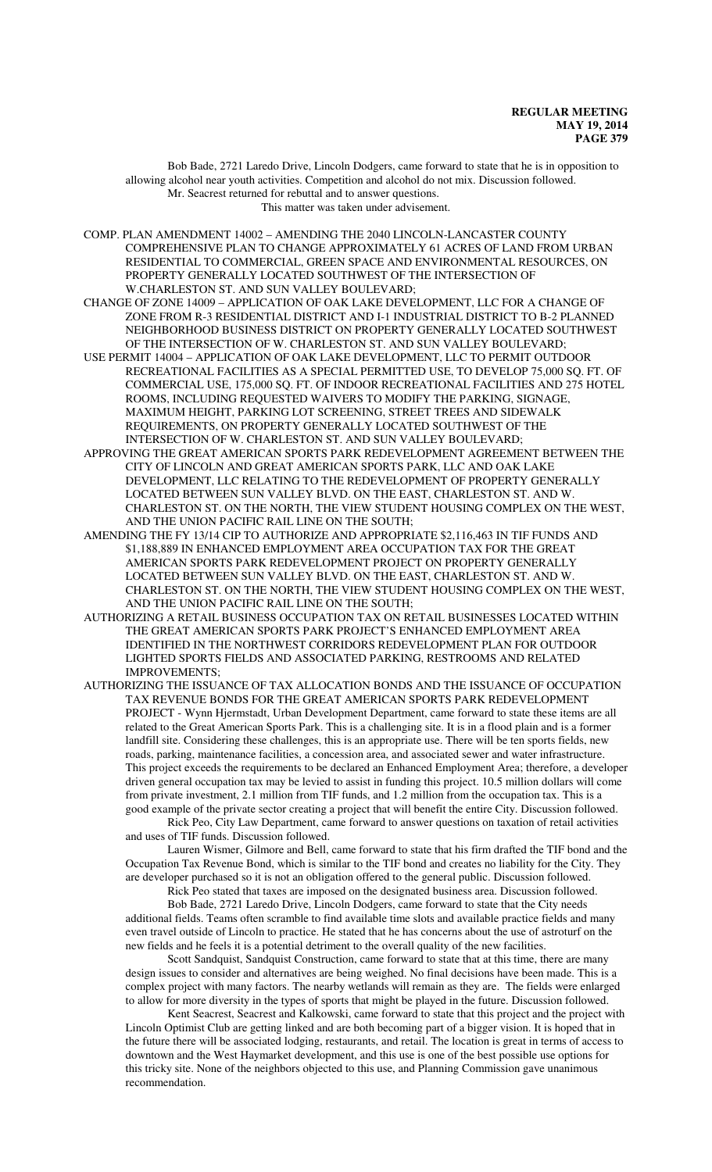Bob Bade, 2721 Laredo Drive, Lincoln Dodgers, came forward to state that he is in opposition to allowing alcohol near youth activities. Competition and alcohol do not mix. Discussion followed. Mr. Seacrest returned for rebuttal and to answer questions. This matter was taken under advisement.

COMP. PLAN AMENDMENT 14002 – AMENDING THE 2040 LINCOLN-LANCASTER COUNTY COMPREHENSIVE PLAN TO CHANGE APPROXIMATELY 61 ACRES OF LAND FROM URBAN RESIDENTIAL TO COMMERCIAL, GREEN SPACE AND ENVIRONMENTAL RESOURCES, ON PROPERTY GENERALLY LOCATED SOUTHWEST OF THE INTERSECTION OF W.CHARLESTON ST. AND SUN VALLEY BOULEVARD;

CHANGE OF ZONE 14009 – APPLICATION OF OAK LAKE DEVELOPMENT, LLC FOR A CHANGE OF ZONE FROM R-3 RESIDENTIAL DISTRICT AND I-1 INDUSTRIAL DISTRICT TO B-2 PLANNED NEIGHBORHOOD BUSINESS DISTRICT ON PROPERTY GENERALLY LOCATED SOUTHWEST OF THE INTERSECTION OF W. CHARLESTON ST. AND SUN VALLEY BOULEVARD;

USE PERMIT 14004 – APPLICATION OF OAK LAKE DEVELOPMENT, LLC TO PERMIT OUTDOOR RECREATIONAL FACILITIES AS A SPECIAL PERMITTED USE, TO DEVELOP 75,000 SQ. FT. OF COMMERCIAL USE, 175,000 SQ. FT. OF INDOOR RECREATIONAL FACILITIES AND 275 HOTEL ROOMS, INCLUDING REQUESTED WAIVERS TO MODIFY THE PARKING, SIGNAGE, MAXIMUM HEIGHT, PARKING LOT SCREENING, STREET TREES AND SIDEWALK REQUIREMENTS, ON PROPERTY GENERALLY LOCATED SOUTHWEST OF THE INTERSECTION OF W. CHARLESTON ST. AND SUN VALLEY BOULEVARD;

APPROVING THE GREAT AMERICAN SPORTS PARK REDEVELOPMENT AGREEMENT BETWEEN THE CITY OF LINCOLN AND GREAT AMERICAN SPORTS PARK, LLC AND OAK LAKE DEVELOPMENT, LLC RELATING TO THE REDEVELOPMENT OF PROPERTY GENERALLY LOCATED BETWEEN SUN VALLEY BLVD. ON THE EAST, CHARLESTON ST. AND W. CHARLESTON ST. ON THE NORTH, THE VIEW STUDENT HOUSING COMPLEX ON THE WEST, AND THE UNION PACIFIC RAIL LINE ON THE SOUTH;

AMENDING THE FY 13/14 CIP TO AUTHORIZE AND APPROPRIATE \$2,116,463 IN TIF FUNDS AND \$1,188,889 IN ENHANCED EMPLOYMENT AREA OCCUPATION TAX FOR THE GREAT AMERICAN SPORTS PARK REDEVELOPMENT PROJECT ON PROPERTY GENERALLY LOCATED BETWEEN SUN VALLEY BLVD. ON THE EAST, CHARLESTON ST. AND W. CHARLESTON ST. ON THE NORTH, THE VIEW STUDENT HOUSING COMPLEX ON THE WEST, AND THE UNION PACIFIC RAIL LINE ON THE SOUTH;

AUTHORIZING A RETAIL BUSINESS OCCUPATION TAX ON RETAIL BUSINESSES LOCATED WITHIN THE GREAT AMERICAN SPORTS PARK PROJECT'S ENHANCED EMPLOYMENT AREA IDENTIFIED IN THE NORTHWEST CORRIDORS REDEVELOPMENT PLAN FOR OUTDOOR LIGHTED SPORTS FIELDS AND ASSOCIATED PARKING, RESTROOMS AND RELATED IMPROVEMENTS;

AUTHORIZING THE ISSUANCE OF TAX ALLOCATION BONDS AND THE ISSUANCE OF OCCUPATION TAX REVENUE BONDS FOR THE GREAT AMERICAN SPORTS PARK REDEVELOPMENT PROJECT - Wynn Hjermstadt, Urban Development Department, came forward to state these items are all related to the Great American Sports Park. This is a challenging site. It is in a flood plain and is a former landfill site. Considering these challenges, this is an appropriate use. There will be ten sports fields, new roads, parking, maintenance facilities, a concession area, and associated sewer and water infrastructure. This project exceeds the requirements to be declared an Enhanced Employment Area; therefore, a developer driven general occupation tax may be levied to assist in funding this project. 10.5 million dollars will come from private investment, 2.1 million from TIF funds, and 1.2 million from the occupation tax. This is a good example of the private sector creating a project that will benefit the entire City. Discussion followed.

Rick Peo, City Law Department, came forward to answer questions on taxation of retail activities and uses of TIF funds. Discussion followed.

Lauren Wismer, Gilmore and Bell, came forward to state that his firm drafted the TIF bond and the Occupation Tax Revenue Bond, which is similar to the TIF bond and creates no liability for the City. They are developer purchased so it is not an obligation offered to the general public. Discussion followed.

Rick Peo stated that taxes are imposed on the designated business area. Discussion followed. Bob Bade, 2721 Laredo Drive, Lincoln Dodgers, came forward to state that the City needs

additional fields. Teams often scramble to find available time slots and available practice fields and many even travel outside of Lincoln to practice. He stated that he has concerns about the use of astroturf on the new fields and he feels it is a potential detriment to the overall quality of the new facilities.

Scott Sandquist, Sandquist Construction, came forward to state that at this time, there are many design issues to consider and alternatives are being weighed. No final decisions have been made. This is a complex project with many factors. The nearby wetlands will remain as they are. The fields were enlarged to allow for more diversity in the types of sports that might be played in the future. Discussion followed.

Kent Seacrest, Seacrest and Kalkowski, came forward to state that this project and the project with Lincoln Optimist Club are getting linked and are both becoming part of a bigger vision. It is hoped that in the future there will be associated lodging, restaurants, and retail. The location is great in terms of access to downtown and the West Haymarket development, and this use is one of the best possible use options for this tricky site. None of the neighbors objected to this use, and Planning Commission gave unanimous recommendation.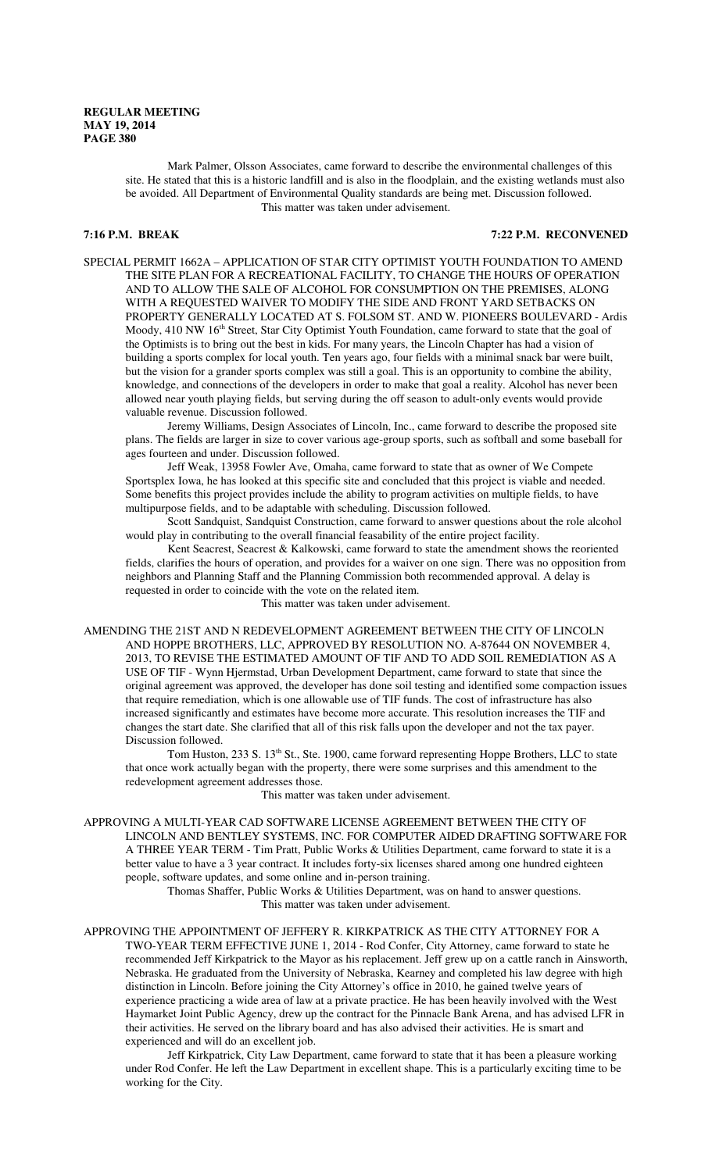Mark Palmer, Olsson Associates, came forward to describe the environmental challenges of this site. He stated that this is a historic landfill and is also in the floodplain, and the existing wetlands must also be avoided. All Department of Environmental Quality standards are being met. Discussion followed. This matter was taken under advisement.

**7:16 P.M. BREAK 7:22 P.M. RECONVENED**

SPECIAL PERMIT 1662A – APPLICATION OF STAR CITY OPTIMIST YOUTH FOUNDATION TO AMEND THE SITE PLAN FOR A RECREATIONAL FACILITY, TO CHANGE THE HOURS OF OPERATION AND TO ALLOW THE SALE OF ALCOHOL FOR CONSUMPTION ON THE PREMISES, ALONG WITH A REQUESTED WAIVER TO MODIFY THE SIDE AND FRONT YARD SETBACKS ON PROPERTY GENERALLY LOCATED AT S. FOLSOM ST. AND W. PIONEERS BOULEVARD - Ardis Moody, 410 NW 16<sup>th</sup> Street, Star City Optimist Youth Foundation, came forward to state that the goal of the Optimists is to bring out the best in kids. For many years, the Lincoln Chapter has had a vision of building a sports complex for local youth. Ten years ago, four fields with a minimal snack bar were built, but the vision for a grander sports complex was still a goal. This is an opportunity to combine the ability, knowledge, and connections of the developers in order to make that goal a reality. Alcohol has never been allowed near youth playing fields, but serving during the off season to adult-only events would provide valuable revenue. Discussion followed.

Jeremy Williams, Design Associates of Lincoln, Inc., came forward to describe the proposed site plans. The fields are larger in size to cover various age-group sports, such as softball and some baseball for ages fourteen and under. Discussion followed.

Jeff Weak, 13958 Fowler Ave, Omaha, came forward to state that as owner of We Compete Sportsplex Iowa, he has looked at this specific site and concluded that this project is viable and needed. Some benefits this project provides include the ability to program activities on multiple fields, to have multipurpose fields, and to be adaptable with scheduling. Discussion followed.

Scott Sandquist, Sandquist Construction, came forward to answer questions about the role alcohol would play in contributing to the overall financial feasability of the entire project facility.

Kent Seacrest, Seacrest & Kalkowski, came forward to state the amendment shows the reoriented fields, clarifies the hours of operation, and provides for a waiver on one sign. There was no opposition from neighbors and Planning Staff and the Planning Commission both recommended approval. A delay is requested in order to coincide with the vote on the related item.

This matter was taken under advisement.

AMENDING THE 21ST AND N REDEVELOPMENT AGREEMENT BETWEEN THE CITY OF LINCOLN AND HOPPE BROTHERS, LLC, APPROVED BY RESOLUTION NO. A-87644 ON NOVEMBER 4, 2013, TO REVISE THE ESTIMATED AMOUNT OF TIF AND TO ADD SOIL REMEDIATION AS A USE OF TIF - Wynn Hjermstad, Urban Development Department, came forward to state that since the original agreement was approved, the developer has done soil testing and identified some compaction issues that require remediation, which is one allowable use of TIF funds. The cost of infrastructure has also increased significantly and estimates have become more accurate. This resolution increases the TIF and changes the start date. She clarified that all of this risk falls upon the developer and not the tax payer. Discussion followed.

Tom Huston, 233 S. 13<sup>th</sup> St., Ste. 1900, came forward representing Hoppe Brothers, LLC to state that once work actually began with the property, there were some surprises and this amendment to the redevelopment agreement addresses those.

This matter was taken under advisement.

APPROVING A MULTI-YEAR CAD SOFTWARE LICENSE AGREEMENT BETWEEN THE CITY OF LINCOLN AND BENTLEY SYSTEMS, INC. FOR COMPUTER AIDED DRAFTING SOFTWARE FOR A THREE YEAR TERM - Tim Pratt, Public Works & Utilities Department, came forward to state it is a better value to have a 3 year contract. It includes forty-six licenses shared among one hundred eighteen people, software updates, and some online and in-person training.

Thomas Shaffer, Public Works & Utilities Department, was on hand to answer questions. This matter was taken under advisement.

APPROVING THE APPOINTMENT OF JEFFERY R. KIRKPATRICK AS THE CITY ATTORNEY FOR A TWO-YEAR TERM EFFECTIVE JUNE 1, 2014 - Rod Confer, City Attorney, came forward to state he recommended Jeff Kirkpatrick to the Mayor as his replacement. Jeff grew up on a cattle ranch in Ainsworth, Nebraska. He graduated from the University of Nebraska, Kearney and completed his law degree with high distinction in Lincoln. Before joining the City Attorney's office in 2010, he gained twelve years of experience practicing a wide area of law at a private practice. He has been heavily involved with the West Haymarket Joint Public Agency, drew up the contract for the Pinnacle Bank Arena, and has advised LFR in their activities. He served on the library board and has also advised their activities. He is smart and experienced and will do an excellent job.

Jeff Kirkpatrick, City Law Department, came forward to state that it has been a pleasure working under Rod Confer. He left the Law Department in excellent shape. This is a particularly exciting time to be working for the City.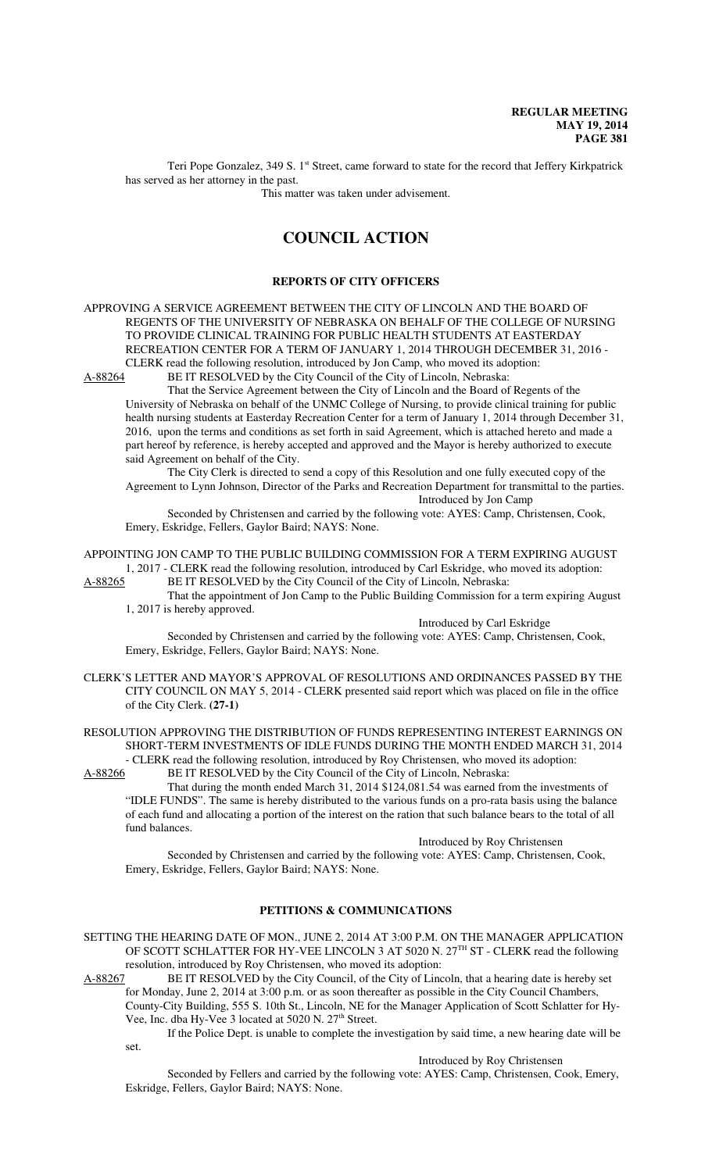Teri Pope Gonzalez, 349 S. 1st Street, came forward to state for the record that Jeffery Kirkpatrick has served as her attorney in the past.

This matter was taken under advisement.

# **COUNCIL ACTION**

#### **REPORTS OF CITY OFFICERS**

APPROVING A SERVICE AGREEMENT BETWEEN THE CITY OF LINCOLN AND THE BOARD OF REGENTS OF THE UNIVERSITY OF NEBRASKA ON BEHALF OF THE COLLEGE OF NURSING TO PROVIDE CLINICAL TRAINING FOR PUBLIC HEALTH STUDENTS AT EASTERDAY RECREATION CENTER FOR A TERM OF JANUARY 1, 2014 THROUGH DECEMBER 31, 2016 - CLERK read the following resolution, introduced by Jon Camp, who moved its adoption:<br>A-88264 BE IT RESOLVED by the City Council of the City of Lincoln, Nebraska: BE IT RESOLVED by the City Council of the City of Lincoln, Nebraska:

That the Service Agreement between the City of Lincoln and the Board of Regents of the

University of Nebraska on behalf of the UNMC College of Nursing, to provide clinical training for public health nursing students at Easterday Recreation Center for a term of January 1, 2014 through December 31, 2016, upon the terms and conditions as set forth in said Agreement, which is attached hereto and made a part hereof by reference, is hereby accepted and approved and the Mayor is hereby authorized to execute said Agreement on behalf of the City.

The City Clerk is directed to send a copy of this Resolution and one fully executed copy of the Agreement to Lynn Johnson, Director of the Parks and Recreation Department for transmittal to the parties.

Introduced by Jon Camp

Seconded by Christensen and carried by the following vote: AYES: Camp, Christensen, Cook, Emery, Eskridge, Fellers, Gaylor Baird; NAYS: None.

APPOINTING JON CAMP TO THE PUBLIC BUILDING COMMISSION FOR A TERM EXPIRING AUGUST 1, 2017 - CLERK read the following resolution, introduced by Carl Eskridge, who moved its adoption:

A-88265 BE IT RESOLVED by the City Council of the City of Lincoln, Nebraska:

That the appointment of Jon Camp to the Public Building Commission for a term expiring August 1, 2017 is hereby approved.

Introduced by Carl Eskridge

Seconded by Christensen and carried by the following vote: AYES: Camp, Christensen, Cook, Emery, Eskridge, Fellers, Gaylor Baird; NAYS: None.

CLERK'S LETTER AND MAYOR'S APPROVAL OF RESOLUTIONS AND ORDINANCES PASSED BY THE CITY COUNCIL ON MAY 5, 2014 - CLERK presented said report which was placed on file in the office of the City Clerk. **(27-1)**

RESOLUTION APPROVING THE DISTRIBUTION OF FUNDS REPRESENTING INTEREST EARNINGS ON SHORT-TERM INVESTMENTS OF IDLE FUNDS DURING THE MONTH ENDED MARCH 31, 2014 - CLERK read the following resolution, introduced by Roy Christensen, who moved its adoption:

A-88266 BE IT RESOLVED by the City Council of the City of Lincoln, Nebraska:

That during the month ended March 31, 2014 \$124,081.54 was earned from the investments of "IDLE FUNDS". The same is hereby distributed to the various funds on a pro-rata basis using the balance of each fund and allocating a portion of the interest on the ration that such balance bears to the total of all fund balances.

#### Introduced by Roy Christensen

Seconded by Christensen and carried by the following vote: AYES: Camp, Christensen, Cook, Emery, Eskridge, Fellers, Gaylor Baird; NAYS: None.

#### **PETITIONS & COMMUNICATIONS**

SETTING THE HEARING DATE OF MON., JUNE 2, 2014 AT 3:00 P.M. ON THE MANAGER APPLICATION OF SCOTT SCHLATTER FOR HY-VEE LINCOLN 3 AT 5020 N. 27TH ST - CLERK read the following resolution, introduced by Roy Christensen, who moved its adoption:

A-88267 BE IT RESOLVED by the City Council, of the City of Lincoln, that a hearing date is hereby set

for Monday, June 2, 2014 at 3:00 p.m. or as soon thereafter as possible in the City Council Chambers, County-City Building, 555 S. 10th St., Lincoln, NE for the Manager Application of Scott Schlatter for Hy-

Vee, Inc. dba Hy-Vee 3 located at 5020 N. 27<sup>th</sup> Street.

If the Police Dept. is unable to complete the investigation by said time, a new hearing date will be set.

Introduced by Roy Christensen

Seconded by Fellers and carried by the following vote: AYES: Camp, Christensen, Cook, Emery, Eskridge, Fellers, Gaylor Baird; NAYS: None.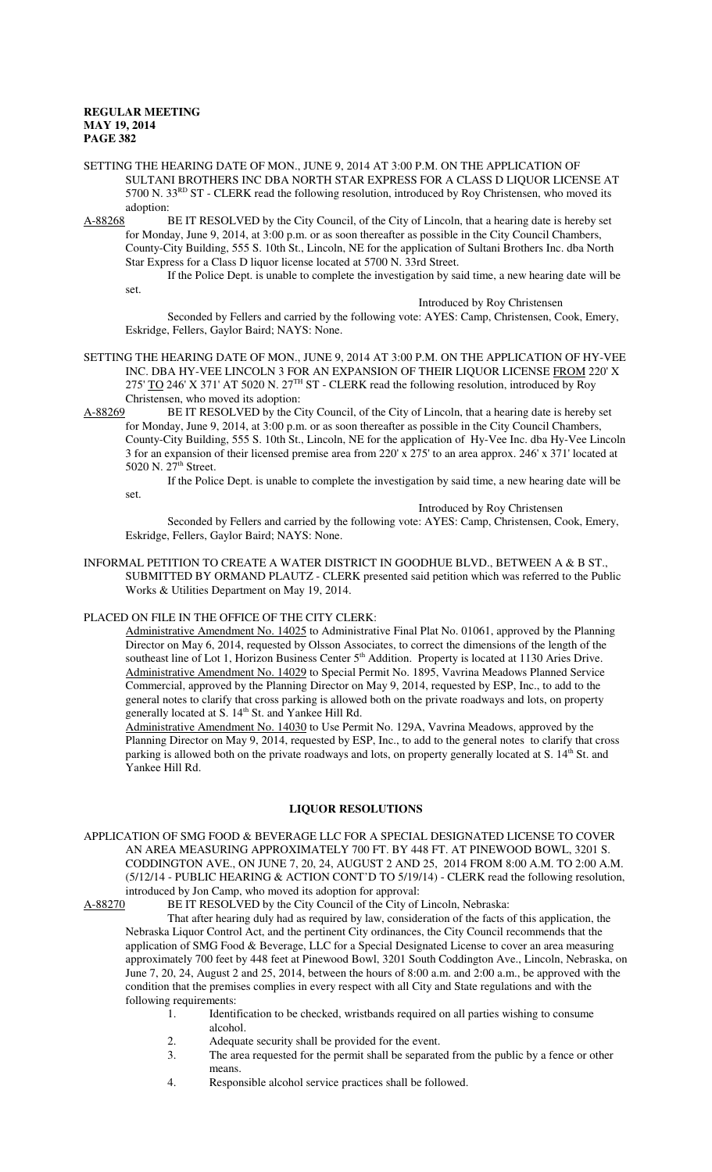set.

- SETTING THE HEARING DATE OF MON., JUNE 9, 2014 AT 3:00 P.M. ON THE APPLICATION OF SULTANI BROTHERS INC DBA NORTH STAR EXPRESS FOR A CLASS D LIQUOR LICENSE AT 5700 N. 33<sup>RD</sup> ST - CLERK read the following resolution, introduced by Roy Christensen, who moved its adoption:
- A-88268 BE IT RESOLVED by the City Council, of the City of Lincoln, that a hearing date is hereby set for Monday, June 9, 2014, at 3:00 p.m. or as soon thereafter as possible in the City Council Chambers, County-City Building, 555 S. 10th St., Lincoln, NE for the application of Sultani Brothers Inc. dba North Star Express for a Class D liquor license located at 5700 N. 33rd Street.

If the Police Dept. is unable to complete the investigation by said time, a new hearing date will be

Introduced by Roy Christensen

Seconded by Fellers and carried by the following vote: AYES: Camp, Christensen, Cook, Emery, Eskridge, Fellers, Gaylor Baird; NAYS: None.

- SETTING THE HEARING DATE OF MON., JUNE 9, 2014 AT 3:00 P.M. ON THE APPLICATION OF HY-VEE INC. DBA HY-VEE LINCOLN 3 FOR AN EXPANSION OF THEIR LIQUOR LICENSE FROM 220' X 275' TO 246' X 371' AT 5020 N. 27<sup>TH</sup> ST - CLERK read the following resolution, introduced by Roy Christensen, who moved its adoption:
- A-88269 BE IT RESOLVED by the City Council, of the City of Lincoln, that a hearing date is hereby set for Monday, June 9, 2014, at 3:00 p.m. or as soon thereafter as possible in the City Council Chambers, County-City Building, 555 S. 10th St., Lincoln, NE for the application of Hy-Vee Inc. dba Hy-Vee Lincoln 3 for an expansion of their licensed premise area from 220' x 275' to an area approx. 246' x 371' located at 5020 N. 27<sup>th</sup> Street.

If the Police Dept. is unable to complete the investigation by said time, a new hearing date will be set.

Introduced by Roy Christensen

Seconded by Fellers and carried by the following vote: AYES: Camp, Christensen, Cook, Emery, Eskridge, Fellers, Gaylor Baird; NAYS: None.

INFORMAL PETITION TO CREATE A WATER DISTRICT IN GOODHUE BLVD., BETWEEN A & B ST., SUBMITTED BY ORMAND PLAUTZ - CLERK presented said petition which was referred to the Public Works & Utilities Department on May 19, 2014.

#### PLACED ON FILE IN THE OFFICE OF THE CITY CLERK:

Administrative Amendment No. 14025 to Administrative Final Plat No. 01061, approved by the Planning Director on May 6, 2014, requested by Olsson Associates, to correct the dimensions of the length of the southeast line of Lot 1, Horizon Business Center 5<sup>th</sup> Addition. Property is located at 1130 Aries Drive. Administrative Amendment No. 14029 to Special Permit No. 1895, Vavrina Meadows Planned Service Commercial, approved by the Planning Director on May 9, 2014, requested by ESP, Inc., to add to the general notes to clarify that cross parking is allowed both on the private roadways and lots, on property generally located at S. 14<sup>th</sup> St. and Yankee Hill Rd.

Administrative Amendment No. 14030 to Use Permit No. 129A, Vavrina Meadows, approved by the Planning Director on May 9, 2014, requested by ESP, Inc., to add to the general notes to clarify that cross parking is allowed both on the private roadways and lots, on property generally located at S. 14<sup>th</sup> St. and Yankee Hill Rd.

### **LIQUOR RESOLUTIONS**

APPLICATION OF SMG FOOD & BEVERAGE LLC FOR A SPECIAL DESIGNATED LICENSE TO COVER AN AREA MEASURING APPROXIMATELY 700 FT. BY 448 FT. AT PINEWOOD BOWL, 3201 S. CODDINGTON AVE., ON JUNE 7, 20, 24, AUGUST 2 AND 25, 2014 FROM 8:00 A.M. TO 2:00 A.M. (5/12/14 - PUBLIC HEARING & ACTION CONT'D TO 5/19/14) - CLERK read the following resolution, introduced by Jon Camp, who moved its adoption for approval:

A-88270 BE IT RESOLVED by the City Council of the City of Lincoln, Nebraska:

That after hearing duly had as required by law, consideration of the facts of this application, the Nebraska Liquor Control Act, and the pertinent City ordinances, the City Council recommends that the application of SMG Food & Beverage, LLC for a Special Designated License to cover an area measuring approximately 700 feet by 448 feet at Pinewood Bowl, 3201 South Coddington Ave., Lincoln, Nebraska, on June 7, 20, 24, August 2 and 25, 2014, between the hours of 8:00 a.m. and 2:00 a.m., be approved with the condition that the premises complies in every respect with all City and State regulations and with the following requirements:

- 1. Identification to be checked, wristbands required on all parties wishing to consume alcohol.
- 2. Adequate security shall be provided for the event.<br>3. The area requested for the permit shall be separate
- The area requested for the permit shall be separated from the public by a fence or other means.
- 4. Responsible alcohol service practices shall be followed.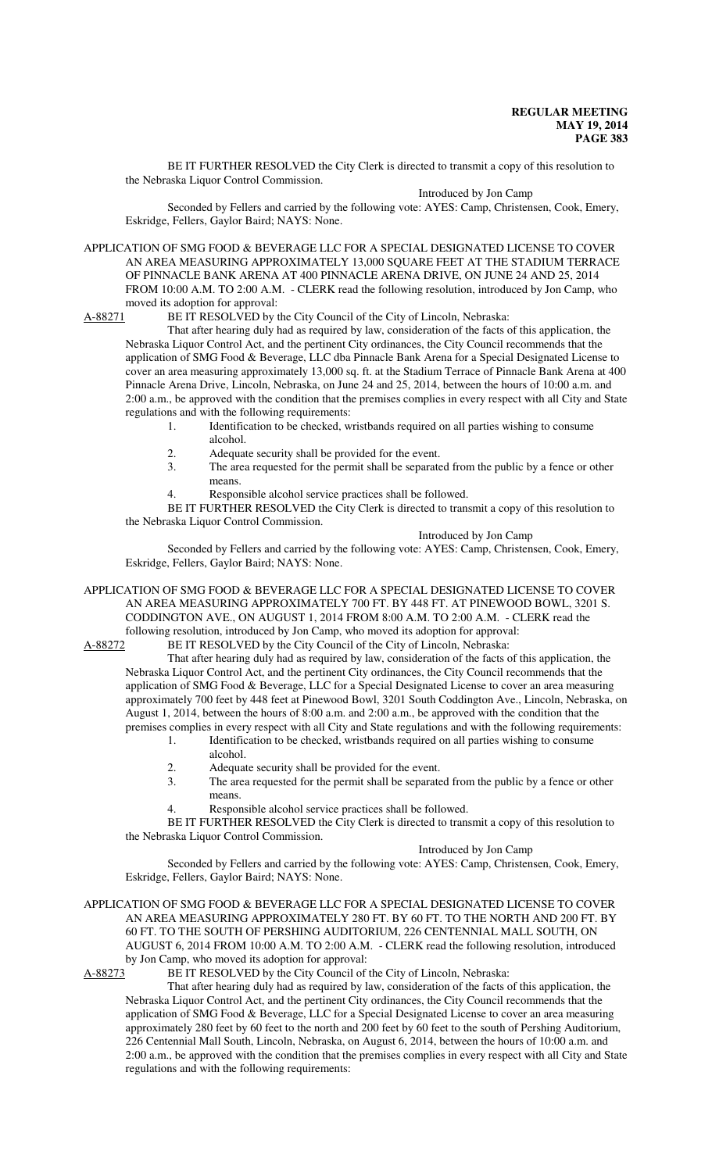BE IT FURTHER RESOLVED the City Clerk is directed to transmit a copy of this resolution to the Nebraska Liquor Control Commission.

#### Introduced by Jon Camp

Seconded by Fellers and carried by the following vote: AYES: Camp, Christensen, Cook, Emery, Eskridge, Fellers, Gaylor Baird; NAYS: None.

APPLICATION OF SMG FOOD & BEVERAGE LLC FOR A SPECIAL DESIGNATED LICENSE TO COVER AN AREA MEASURING APPROXIMATELY 13,000 SQUARE FEET AT THE STADIUM TERRACE OF PINNACLE BANK ARENA AT 400 PINNACLE ARENA DRIVE, ON JUNE 24 AND 25, 2014 FROM 10:00 A.M. TO 2:00 A.M. - CLERK read the following resolution, introduced by Jon Camp, who moved its adoption for approval:

A-88271 BE IT RESOLVED by the City Council of the City of Lincoln, Nebraska:

That after hearing duly had as required by law, consideration of the facts of this application, the Nebraska Liquor Control Act, and the pertinent City ordinances, the City Council recommends that the application of SMG Food & Beverage, LLC dba Pinnacle Bank Arena for a Special Designated License to cover an area measuring approximately 13,000 sq. ft. at the Stadium Terrace of Pinnacle Bank Arena at 400 Pinnacle Arena Drive, Lincoln, Nebraska, on June 24 and 25, 2014, between the hours of 10:00 a.m. and 2:00 a.m., be approved with the condition that the premises complies in every respect with all City and State regulations and with the following requirements:

- 1. Identification to be checked, wristbands required on all parties wishing to consume alcohol.
- 2. Adequate security shall be provided for the event.<br>3 The area requested for the permit shall be separate
- The area requested for the permit shall be separated from the public by a fence or other means.
- 4. Responsible alcohol service practices shall be followed.

BE IT FURTHER RESOLVED the City Clerk is directed to transmit a copy of this resolution to the Nebraska Liquor Control Commission.

#### Introduced by Jon Camp

Seconded by Fellers and carried by the following vote: AYES: Camp, Christensen, Cook, Emery, Eskridge, Fellers, Gaylor Baird; NAYS: None.

APPLICATION OF SMG FOOD & BEVERAGE LLC FOR A SPECIAL DESIGNATED LICENSE TO COVER AN AREA MEASURING APPROXIMATELY 700 FT. BY 448 FT. AT PINEWOOD BOWL, 3201 S. CODDINGTON AVE., ON AUGUST 1, 2014 FROM 8:00 A.M. TO 2:00 A.M. - CLERK read the following resolution, introduced by Jon Camp, who moved its adoption for approval:

A-88272 BE IT RESOLVED by the City Council of the City of Lincoln, Nebraska:

That after hearing duly had as required by law, consideration of the facts of this application, the Nebraska Liquor Control Act, and the pertinent City ordinances, the City Council recommends that the application of SMG Food & Beverage, LLC for a Special Designated License to cover an area measuring approximately 700 feet by 448 feet at Pinewood Bowl, 3201 South Coddington Ave., Lincoln, Nebraska, on August 1, 2014, between the hours of 8:00 a.m. and 2:00 a.m., be approved with the condition that the premises complies in every respect with all City and State regulations and with the following requirements:

- 1. Identification to be checked, wristbands required on all parties wishing to consume alcohol.
- 2. Adequate security shall be provided for the event.<br>3. The area requested for the permit shall be separate
- The area requested for the permit shall be separated from the public by a fence or other means.
- Responsible alcohol service practices shall be followed.

BE IT FURTHER RESOLVED the City Clerk is directed to transmit a copy of this resolution to the Nebraska Liquor Control Commission.

#### Introduced by Jon Camp

Seconded by Fellers and carried by the following vote: AYES: Camp, Christensen, Cook, Emery, Eskridge, Fellers, Gaylor Baird; NAYS: None.

APPLICATION OF SMG FOOD & BEVERAGE LLC FOR A SPECIAL DESIGNATED LICENSE TO COVER AN AREA MEASURING APPROXIMATELY 280 FT. BY 60 FT. TO THE NORTH AND 200 FT. BY 60 FT. TO THE SOUTH OF PERSHING AUDITORIUM, 226 CENTENNIAL MALL SOUTH, ON AUGUST 6, 2014 FROM 10:00 A.M. TO 2:00 A.M. - CLERK read the following resolution, introduced by Jon Camp, who moved its adoption for approval:<br>A-88273 BE IT RESOLVED by the City Council of

BE IT RESOLVED by the City Council of the City of Lincoln, Nebraska:

That after hearing duly had as required by law, consideration of the facts of this application, the Nebraska Liquor Control Act, and the pertinent City ordinances, the City Council recommends that the application of SMG Food & Beverage, LLC for a Special Designated License to cover an area measuring approximately 280 feet by 60 feet to the north and 200 feet by 60 feet to the south of Pershing Auditorium, 226 Centennial Mall South, Lincoln, Nebraska, on August 6, 2014, between the hours of 10:00 a.m. and 2:00 a.m., be approved with the condition that the premises complies in every respect with all City and State regulations and with the following requirements: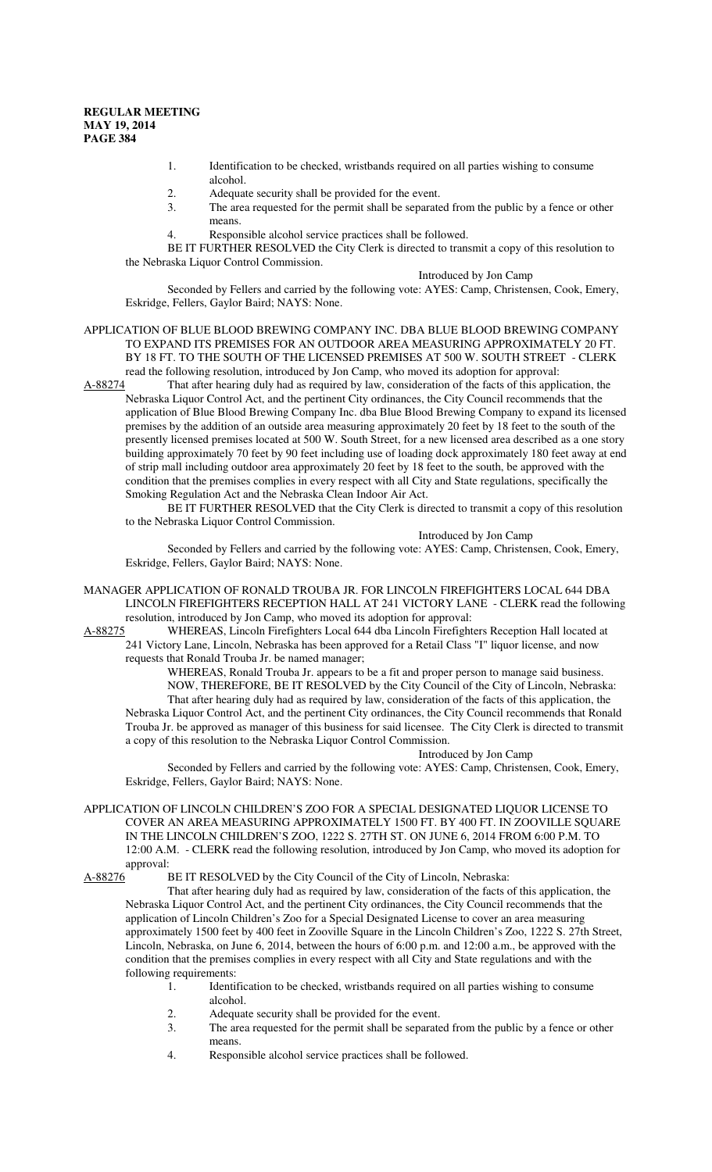- 1. Identification to be checked, wristbands required on all parties wishing to consume alcohol.
- 2. Adequate security shall be provided for the event.
- 3. The area requested for the permit shall be separated from the public by a fence or other means.
- 4. Responsible alcohol service practices shall be followed.

BE IT FURTHER RESOLVED the City Clerk is directed to transmit a copy of this resolution to the Nebraska Liquor Control Commission.

#### Introduced by Jon Camp

Seconded by Fellers and carried by the following vote: AYES: Camp, Christensen, Cook, Emery, Eskridge, Fellers, Gaylor Baird; NAYS: None.

#### APPLICATION OF BLUE BLOOD BREWING COMPANY INC. DBA BLUE BLOOD BREWING COMPANY TO EXPAND ITS PREMISES FOR AN OUTDOOR AREA MEASURING APPROXIMATELY 20 FT. BY 18 FT. TO THE SOUTH OF THE LICENSED PREMISES AT 500 W. SOUTH STREET - CLERK read the following resolution, introduced by Jon Camp, who moved its adoption for approval:

A-88274 That after hearing duly had as required by law, consideration of the facts of this application, the Nebraska Liquor Control Act, and the pertinent City ordinances, the City Council recommends that the application of Blue Blood Brewing Company Inc. dba Blue Blood Brewing Company to expand its licensed premises by the addition of an outside area measuring approximately 20 feet by 18 feet to the south of the presently licensed premises located at 500 W. South Street, for a new licensed area described as a one story building approximately 70 feet by 90 feet including use of loading dock approximately 180 feet away at end of strip mall including outdoor area approximately 20 feet by 18 feet to the south, be approved with the condition that the premises complies in every respect with all City and State regulations, specifically the Smoking Regulation Act and the Nebraska Clean Indoor Air Act.

BE IT FURTHER RESOLVED that the City Clerk is directed to transmit a copy of this resolution to the Nebraska Liquor Control Commission.

#### Introduced by Jon Camp

Seconded by Fellers and carried by the following vote: AYES: Camp, Christensen, Cook, Emery, Eskridge, Fellers, Gaylor Baird; NAYS: None.

MANAGER APPLICATION OF RONALD TROUBA JR. FOR LINCOLN FIREFIGHTERS LOCAL 644 DBA LINCOLN FIREFIGHTERS RECEPTION HALL AT 241 VICTORY LANE - CLERK read the following resolution, introduced by Jon Camp, who moved its adoption for approval:

A-88275 WHEREAS, Lincoln Firefighters Local 644 dba Lincoln Firefighters Reception Hall located at 241 Victory Lane, Lincoln, Nebraska has been approved for a Retail Class "I" liquor license, and now requests that Ronald Trouba Jr. be named manager;

WHEREAS, Ronald Trouba Jr. appears to be a fit and proper person to manage said business. NOW, THEREFORE, BE IT RESOLVED by the City Council of the City of Lincoln, Nebraska: That after hearing duly had as required by law, consideration of the facts of this application, the Nebraska Liquor Control Act, and the pertinent City ordinances, the City Council recommends that Ronald Trouba Jr. be approved as manager of this business for said licensee. The City Clerk is directed to transmit a copy of this resolution to the Nebraska Liquor Control Commission.

#### Introduced by Jon Camp

Seconded by Fellers and carried by the following vote: AYES: Camp, Christensen, Cook, Emery, Eskridge, Fellers, Gaylor Baird; NAYS: None.

APPLICATION OF LINCOLN CHILDREN'S ZOO FOR A SPECIAL DESIGNATED LIQUOR LICENSE TO COVER AN AREA MEASURING APPROXIMATELY 1500 FT. BY 400 FT. IN ZOOVILLE SQUARE IN THE LINCOLN CHILDREN'S ZOO, 1222 S. 27TH ST. ON JUNE 6, 2014 FROM 6:00 P.M. TO 12:00 A.M. - CLERK read the following resolution, introduced by Jon Camp, who moved its adoption for approval:<br>A-88276 I

BE IT RESOLVED by the City Council of the City of Lincoln, Nebraska:

That after hearing duly had as required by law, consideration of the facts of this application, the Nebraska Liquor Control Act, and the pertinent City ordinances, the City Council recommends that the application of Lincoln Children's Zoo for a Special Designated License to cover an area measuring approximately 1500 feet by 400 feet in Zooville Square in the Lincoln Children's Zoo, 1222 S. 27th Street, Lincoln, Nebraska, on June 6, 2014, between the hours of 6:00 p.m. and 12:00 a.m., be approved with the condition that the premises complies in every respect with all City and State regulations and with the following requirements:

- 1. Identification to be checked, wristbands required on all parties wishing to consume alcohol.
- 2. Adequate security shall be provided for the event.<br>3. The area requested for the permit shall be separate
- The area requested for the permit shall be separated from the public by a fence or other means.
- 4. Responsible alcohol service practices shall be followed.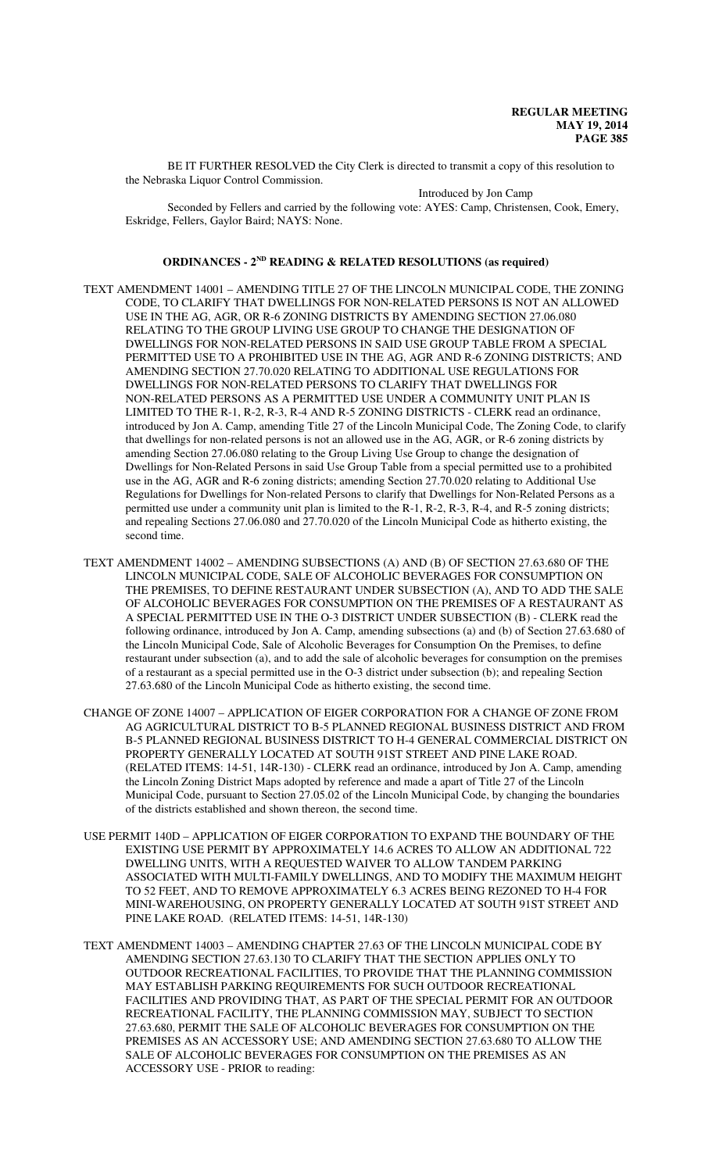BE IT FURTHER RESOLVED the City Clerk is directed to transmit a copy of this resolution to the Nebraska Liquor Control Commission.

Introduced by Jon Camp

Seconded by Fellers and carried by the following vote: AYES: Camp, Christensen, Cook, Emery, Eskridge, Fellers, Gaylor Baird; NAYS: None.

#### **ORDINANCES - 2ND READING & RELATED RESOLUTIONS (as required)**

- TEXT AMENDMENT 14001 AMENDING TITLE 27 OF THE LINCOLN MUNICIPAL CODE, THE ZONING CODE, TO CLARIFY THAT DWELLINGS FOR NON-RELATED PERSONS IS NOT AN ALLOWED USE IN THE AG, AGR, OR R-6 ZONING DISTRICTS BY AMENDING SECTION 27.06.080 RELATING TO THE GROUP LIVING USE GROUP TO CHANGE THE DESIGNATION OF DWELLINGS FOR NON-RELATED PERSONS IN SAID USE GROUP TABLE FROM A SPECIAL PERMITTED USE TO A PROHIBITED USE IN THE AG, AGR AND R-6 ZONING DISTRICTS; AND AMENDING SECTION 27.70.020 RELATING TO ADDITIONAL USE REGULATIONS FOR DWELLINGS FOR NON-RELATED PERSONS TO CLARIFY THAT DWELLINGS FOR NON-RELATED PERSONS AS A PERMITTED USE UNDER A COMMUNITY UNIT PLAN IS LIMITED TO THE R-1, R-2, R-3, R-4 AND R-5 ZONING DISTRICTS - CLERK read an ordinance, introduced by Jon A. Camp, amending Title 27 of the Lincoln Municipal Code, The Zoning Code, to clarify that dwellings for non-related persons is not an allowed use in the AG, AGR, or R-6 zoning districts by amending Section 27.06.080 relating to the Group Living Use Group to change the designation of Dwellings for Non-Related Persons in said Use Group Table from a special permitted use to a prohibited use in the AG, AGR and R-6 zoning districts; amending Section 27.70.020 relating to Additional Use Regulations for Dwellings for Non-related Persons to clarify that Dwellings for Non-Related Persons as a permitted use under a community unit plan is limited to the R-1, R-2, R-3, R-4, and R-5 zoning districts; and repealing Sections 27.06.080 and 27.70.020 of the Lincoln Municipal Code as hitherto existing, the second time.
- TEXT AMENDMENT 14002 AMENDING SUBSECTIONS (A) AND (B) OF SECTION 27.63.680 OF THE LINCOLN MUNICIPAL CODE, SALE OF ALCOHOLIC BEVERAGES FOR CONSUMPTION ON THE PREMISES, TO DEFINE RESTAURANT UNDER SUBSECTION (A), AND TO ADD THE SALE OF ALCOHOLIC BEVERAGES FOR CONSUMPTION ON THE PREMISES OF A RESTAURANT AS A SPECIAL PERMITTED USE IN THE O-3 DISTRICT UNDER SUBSECTION (B) - CLERK read the following ordinance, introduced by Jon A. Camp, amending subsections (a) and (b) of Section 27.63.680 of the Lincoln Municipal Code, Sale of Alcoholic Beverages for Consumption On the Premises, to define restaurant under subsection (a), and to add the sale of alcoholic beverages for consumption on the premises of a restaurant as a special permitted use in the O-3 district under subsection (b); and repealing Section 27.63.680 of the Lincoln Municipal Code as hitherto existing, the second time.
- CHANGE OF ZONE 14007 APPLICATION OF EIGER CORPORATION FOR A CHANGE OF ZONE FROM AG AGRICULTURAL DISTRICT TO B-5 PLANNED REGIONAL BUSINESS DISTRICT AND FROM B-5 PLANNED REGIONAL BUSINESS DISTRICT TO H-4 GENERAL COMMERCIAL DISTRICT ON PROPERTY GENERALLY LOCATED AT SOUTH 91ST STREET AND PINE LAKE ROAD. (RELATED ITEMS: 14-51, 14R-130) - CLERK read an ordinance, introduced by Jon A. Camp, amending the Lincoln Zoning District Maps adopted by reference and made a apart of Title 27 of the Lincoln Municipal Code, pursuant to Section 27.05.02 of the Lincoln Municipal Code, by changing the boundaries of the districts established and shown thereon, the second time.
- USE PERMIT 140D APPLICATION OF EIGER CORPORATION TO EXPAND THE BOUNDARY OF THE EXISTING USE PERMIT BY APPROXIMATELY 14.6 ACRES TO ALLOW AN ADDITIONAL 722 DWELLING UNITS, WITH A REQUESTED WAIVER TO ALLOW TANDEM PARKING ASSOCIATED WITH MULTI-FAMILY DWELLINGS, AND TO MODIFY THE MAXIMUM HEIGHT TO 52 FEET, AND TO REMOVE APPROXIMATELY 6.3 ACRES BEING REZONED TO H-4 FOR MINI-WAREHOUSING, ON PROPERTY GENERALLY LOCATED AT SOUTH 91ST STREET AND PINE LAKE ROAD. (RELATED ITEMS: 14-51, 14R-130)
- TEXT AMENDMENT 14003 AMENDING CHAPTER 27.63 OF THE LINCOLN MUNICIPAL CODE BY AMENDING SECTION 27.63.130 TO CLARIFY THAT THE SECTION APPLIES ONLY TO OUTDOOR RECREATIONAL FACILITIES, TO PROVIDE THAT THE PLANNING COMMISSION MAY ESTABLISH PARKING REQUIREMENTS FOR SUCH OUTDOOR RECREATIONAL FACILITIES AND PROVIDING THAT, AS PART OF THE SPECIAL PERMIT FOR AN OUTDOOR RECREATIONAL FACILITY, THE PLANNING COMMISSION MAY, SUBJECT TO SECTION 27.63.680, PERMIT THE SALE OF ALCOHOLIC BEVERAGES FOR CONSUMPTION ON THE PREMISES AS AN ACCESSORY USE; AND AMENDING SECTION 27.63.680 TO ALLOW THE SALE OF ALCOHOLIC BEVERAGES FOR CONSUMPTION ON THE PREMISES AS AN ACCESSORY USE - PRIOR to reading: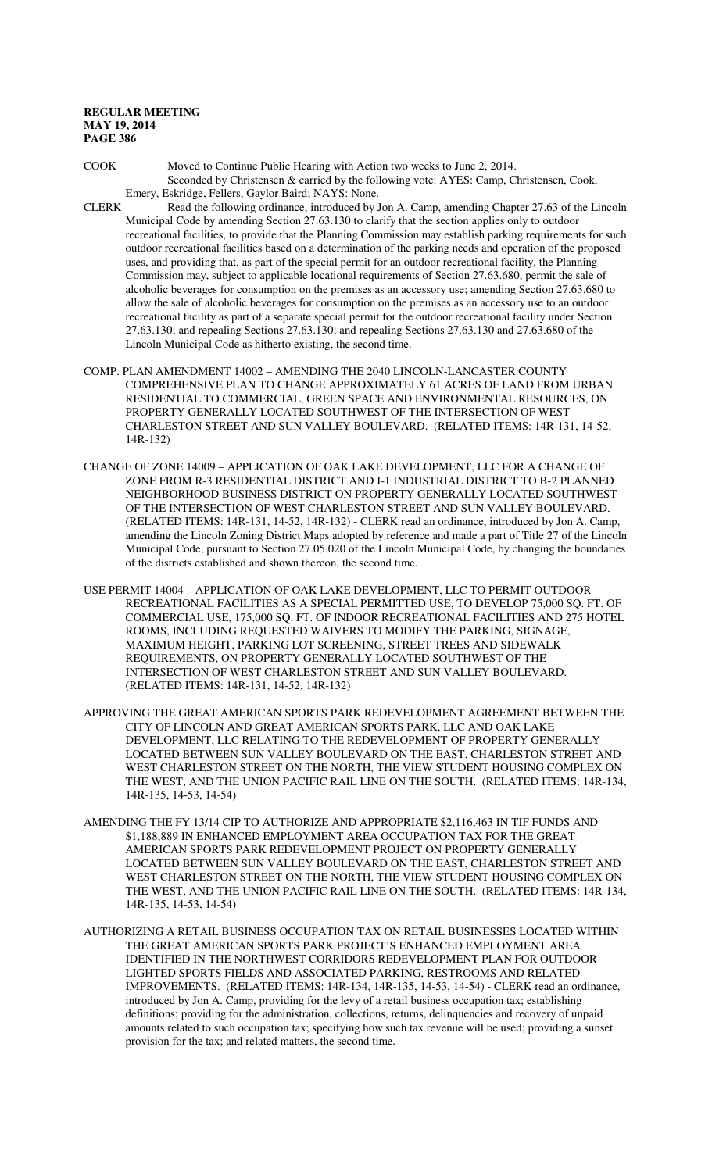COOK Moved to Continue Public Hearing with Action two weeks to June 2, 2014. Seconded by Christensen & carried by the following vote: AYES: Camp, Christensen, Cook, Emery, Eskridge, Fellers, Gaylor Baird; NAYS: None.

- CLERK Read the following ordinance, introduced by Jon A. Camp, amending Chapter 27.63 of the Lincoln Municipal Code by amending Section 27.63.130 to clarify that the section applies only to outdoor recreational facilities, to provide that the Planning Commission may establish parking requirements for such outdoor recreational facilities based on a determination of the parking needs and operation of the proposed uses, and providing that, as part of the special permit for an outdoor recreational facility, the Planning Commission may, subject to applicable locational requirements of Section 27.63.680, permit the sale of alcoholic beverages for consumption on the premises as an accessory use; amending Section 27.63.680 to allow the sale of alcoholic beverages for consumption on the premises as an accessory use to an outdoor recreational facility as part of a separate special permit for the outdoor recreational facility under Section 27.63.130; and repealing Sections 27.63.130; and repealing Sections 27.63.130 and 27.63.680 of the Lincoln Municipal Code as hitherto existing, the second time.
- COMP. PLAN AMENDMENT 14002 AMENDING THE 2040 LINCOLN-LANCASTER COUNTY COMPREHENSIVE PLAN TO CHANGE APPROXIMATELY 61 ACRES OF LAND FROM URBAN RESIDENTIAL TO COMMERCIAL, GREEN SPACE AND ENVIRONMENTAL RESOURCES, ON PROPERTY GENERALLY LOCATED SOUTHWEST OF THE INTERSECTION OF WEST CHARLESTON STREET AND SUN VALLEY BOULEVARD. (RELATED ITEMS: 14R-131, 14-52, 14R-132)
- CHANGE OF ZONE 14009 APPLICATION OF OAK LAKE DEVELOPMENT, LLC FOR A CHANGE OF ZONE FROM R-3 RESIDENTIAL DISTRICT AND I-1 INDUSTRIAL DISTRICT TO B-2 PLANNED NEIGHBORHOOD BUSINESS DISTRICT ON PROPERTY GENERALLY LOCATED SOUTHWEST OF THE INTERSECTION OF WEST CHARLESTON STREET AND SUN VALLEY BOULEVARD. (RELATED ITEMS: 14R-131, 14-52, 14R-132) - CLERK read an ordinance, introduced by Jon A. Camp, amending the Lincoln Zoning District Maps adopted by reference and made a part of Title 27 of the Lincoln Municipal Code, pursuant to Section 27.05.020 of the Lincoln Municipal Code, by changing the boundaries of the districts established and shown thereon, the second time.
- USE PERMIT 14004 APPLICATION OF OAK LAKE DEVELOPMENT, LLC TO PERMIT OUTDOOR RECREATIONAL FACILITIES AS A SPECIAL PERMITTED USE, TO DEVELOP 75,000 SQ. FT. OF COMMERCIAL USE, 175,000 SQ. FT. OF INDOOR RECREATIONAL FACILITIES AND 275 HOTEL ROOMS, INCLUDING REQUESTED WAIVERS TO MODIFY THE PARKING, SIGNAGE, MAXIMUM HEIGHT, PARKING LOT SCREENING, STREET TREES AND SIDEWALK REQUIREMENTS, ON PROPERTY GENERALLY LOCATED SOUTHWEST OF THE INTERSECTION OF WEST CHARLESTON STREET AND SUN VALLEY BOULEVARD. (RELATED ITEMS: 14R-131, 14-52, 14R-132)
- APPROVING THE GREAT AMERICAN SPORTS PARK REDEVELOPMENT AGREEMENT BETWEEN THE CITY OF LINCOLN AND GREAT AMERICAN SPORTS PARK, LLC AND OAK LAKE DEVELOPMENT, LLC RELATING TO THE REDEVELOPMENT OF PROPERTY GENERALLY LOCATED BETWEEN SUN VALLEY BOULEVARD ON THE EAST, CHARLESTON STREET AND WEST CHARLESTON STREET ON THE NORTH, THE VIEW STUDENT HOUSING COMPLEX ON THE WEST, AND THE UNION PACIFIC RAIL LINE ON THE SOUTH. (RELATED ITEMS: 14R-134, 14R-135, 14-53, 14-54)
- AMENDING THE FY 13/14 CIP TO AUTHORIZE AND APPROPRIATE \$2,116,463 IN TIF FUNDS AND \$1,188,889 IN ENHANCED EMPLOYMENT AREA OCCUPATION TAX FOR THE GREAT AMERICAN SPORTS PARK REDEVELOPMENT PROJECT ON PROPERTY GENERALLY LOCATED BETWEEN SUN VALLEY BOULEVARD ON THE EAST, CHARLESTON STREET AND WEST CHARLESTON STREET ON THE NORTH, THE VIEW STUDENT HOUSING COMPLEX ON THE WEST, AND THE UNION PACIFIC RAIL LINE ON THE SOUTH. (RELATED ITEMS: 14R-134, 14R-135, 14-53, 14-54)
- AUTHORIZING A RETAIL BUSINESS OCCUPATION TAX ON RETAIL BUSINESSES LOCATED WITHIN THE GREAT AMERICAN SPORTS PARK PROJECT'S ENHANCED EMPLOYMENT AREA IDENTIFIED IN THE NORTHWEST CORRIDORS REDEVELOPMENT PLAN FOR OUTDOOR LIGHTED SPORTS FIELDS AND ASSOCIATED PARKING, RESTROOMS AND RELATED IMPROVEMENTS. (RELATED ITEMS: 14R-134, 14R-135, 14-53, 14-54) - CLERK read an ordinance, introduced by Jon A. Camp, providing for the levy of a retail business occupation tax; establishing definitions; providing for the administration, collections, returns, delinquencies and recovery of unpaid amounts related to such occupation tax; specifying how such tax revenue will be used; providing a sunset provision for the tax; and related matters, the second time.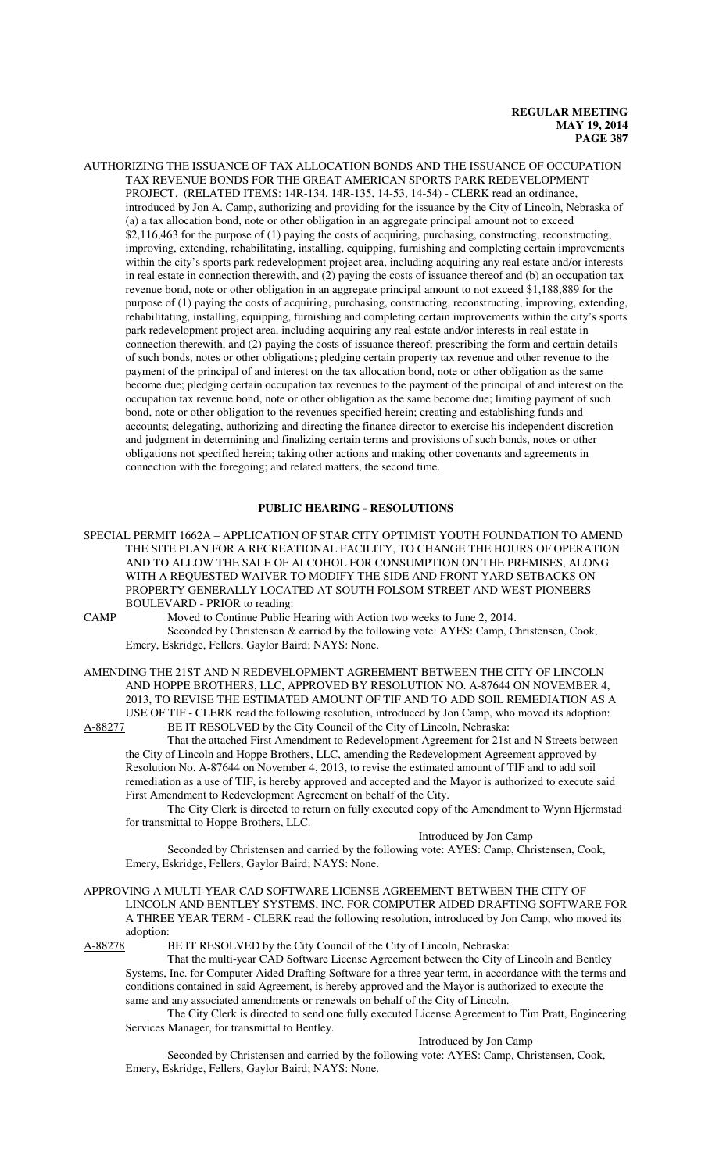AUTHORIZING THE ISSUANCE OF TAX ALLOCATION BONDS AND THE ISSUANCE OF OCCUPATION TAX REVENUE BONDS FOR THE GREAT AMERICAN SPORTS PARK REDEVELOPMENT PROJECT. (RELATED ITEMS: 14R-134, 14R-135, 14-53, 14-54) - CLERK read an ordinance, introduced by Jon A. Camp, authorizing and providing for the issuance by the City of Lincoln, Nebraska of (a) a tax allocation bond, note or other obligation in an aggregate principal amount not to exceed \$2,116,463 for the purpose of (1) paying the costs of acquiring, purchasing, constructing, reconstructing, improving, extending, rehabilitating, installing, equipping, furnishing and completing certain improvements within the city's sports park redevelopment project area, including acquiring any real estate and/or interests in real estate in connection therewith, and (2) paying the costs of issuance thereof and (b) an occupation tax revenue bond, note or other obligation in an aggregate principal amount to not exceed \$1,188,889 for the purpose of (1) paying the costs of acquiring, purchasing, constructing, reconstructing, improving, extending, rehabilitating, installing, equipping, furnishing and completing certain improvements within the city's sports park redevelopment project area, including acquiring any real estate and/or interests in real estate in connection therewith, and (2) paying the costs of issuance thereof; prescribing the form and certain details of such bonds, notes or other obligations; pledging certain property tax revenue and other revenue to the payment of the principal of and interest on the tax allocation bond, note or other obligation as the same become due; pledging certain occupation tax revenues to the payment of the principal of and interest on the occupation tax revenue bond, note or other obligation as the same become due; limiting payment of such bond, note or other obligation to the revenues specified herein; creating and establishing funds and accounts; delegating, authorizing and directing the finance director to exercise his independent discretion and judgment in determining and finalizing certain terms and provisions of such bonds, notes or other obligations not specified herein; taking other actions and making other covenants and agreements in connection with the foregoing; and related matters, the second time.

#### **PUBLIC HEARING - RESOLUTIONS**

SPECIAL PERMIT 1662A – APPLICATION OF STAR CITY OPTIMIST YOUTH FOUNDATION TO AMEND THE SITE PLAN FOR A RECREATIONAL FACILITY, TO CHANGE THE HOURS OF OPERATION AND TO ALLOW THE SALE OF ALCOHOL FOR CONSUMPTION ON THE PREMISES, ALONG WITH A REQUESTED WAIVER TO MODIFY THE SIDE AND FRONT YARD SETBACKS ON PROPERTY GENERALLY LOCATED AT SOUTH FOLSOM STREET AND WEST PIONEERS BOULEVARD - PRIOR to reading:

CAMP Moved to Continue Public Hearing with Action two weeks to June 2, 2014. Seconded by Christensen & carried by the following vote: AYES: Camp, Christensen, Cook, Emery, Eskridge, Fellers, Gaylor Baird; NAYS: None.

AMENDING THE 21ST AND N REDEVELOPMENT AGREEMENT BETWEEN THE CITY OF LINCOLN AND HOPPE BROTHERS, LLC, APPROVED BY RESOLUTION NO. A-87644 ON NOVEMBER 4, 2013, TO REVISE THE ESTIMATED AMOUNT OF TIF AND TO ADD SOIL REMEDIATION AS A USE OF TIF - CLERK read the following resolution, introduced by Jon Camp, who moved its adoption:

A-88277 BE IT RESOLVED by the City Council of the City of Lincoln, Nebraska: That the attached First Amendment to Redevelopment Agreement for 21st and N Streets between the City of Lincoln and Hoppe Brothers, LLC, amending the Redevelopment Agreement approved by Resolution No. A-87644 on November 4, 2013, to revise the estimated amount of TIF and to add soil remediation as a use of TIF, is hereby approved and accepted and the Mayor is authorized to execute said First Amendment to Redevelopment Agreement on behalf of the City.

The City Clerk is directed to return on fully executed copy of the Amendment to Wynn Hjermstad for transmittal to Hoppe Brothers, LLC.

### Introduced by Jon Camp

Seconded by Christensen and carried by the following vote: AYES: Camp, Christensen, Cook, Emery, Eskridge, Fellers, Gaylor Baird; NAYS: None.

APPROVING A MULTI-YEAR CAD SOFTWARE LICENSE AGREEMENT BETWEEN THE CITY OF LINCOLN AND BENTLEY SYSTEMS, INC. FOR COMPUTER AIDED DRAFTING SOFTWARE FOR A THREE YEAR TERM - CLERK read the following resolution, introduced by Jon Camp, who moved its adoption:

A-88278 BE IT RESOLVED by the City Council of the City of Lincoln, Nebraska:

That the multi-year CAD Software License Agreement between the City of Lincoln and Bentley Systems, Inc. for Computer Aided Drafting Software for a three year term, in accordance with the terms and conditions contained in said Agreement, is hereby approved and the Mayor is authorized to execute the same and any associated amendments or renewals on behalf of the City of Lincoln.

The City Clerk is directed to send one fully executed License Agreement to Tim Pratt, Engineering Services Manager, for transmittal to Bentley.

#### Introduced by Jon Camp

Seconded by Christensen and carried by the following vote: AYES: Camp, Christensen, Cook, Emery, Eskridge, Fellers, Gaylor Baird; NAYS: None.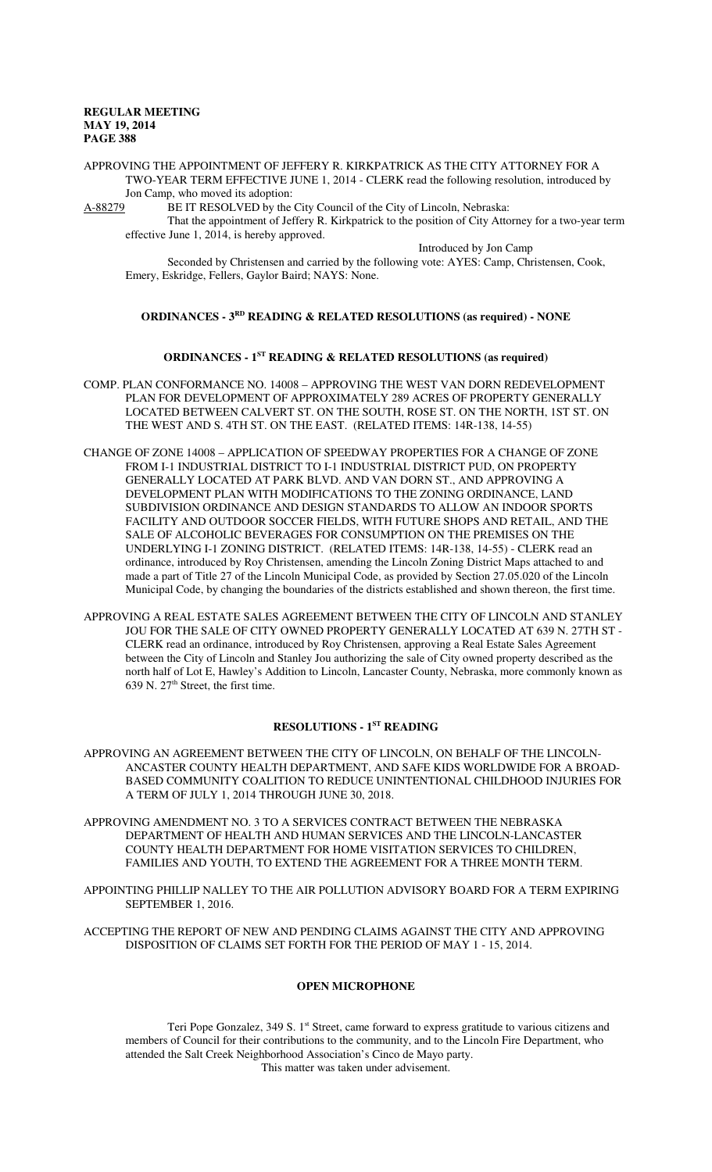APPROVING THE APPOINTMENT OF JEFFERY R. KIRKPATRICK AS THE CITY ATTORNEY FOR A TWO-YEAR TERM EFFECTIVE JUNE 1, 2014 - CLERK read the following resolution, introduced by Jon Camp, who moved its adoption:

A-88279 BE IT RESOLVED by the City Council of the City of Lincoln, Nebraska:

That the appointment of Jeffery R. Kirkpatrick to the position of City Attorney for a two-year term effective June 1, 2014, is hereby approved.

Introduced by Jon Camp

Seconded by Christensen and carried by the following vote: AYES: Camp, Christensen, Cook, Emery, Eskridge, Fellers, Gaylor Baird; NAYS: None.

#### **ORDINANCES - 3RD READING & RELATED RESOLUTIONS (as required) - NONE**

# **ORDINANCES - 1ST READING & RELATED RESOLUTIONS (as required)**

- COMP. PLAN CONFORMANCE NO. 14008 APPROVING THE WEST VAN DORN REDEVELOPMENT PLAN FOR DEVELOPMENT OF APPROXIMATELY 289 ACRES OF PROPERTY GENERALLY LOCATED BETWEEN CALVERT ST. ON THE SOUTH, ROSE ST. ON THE NORTH, 1ST ST. ON THE WEST AND S. 4TH ST. ON THE EAST. (RELATED ITEMS: 14R-138, 14-55)
- CHANGE OF ZONE 14008 APPLICATION OF SPEEDWAY PROPERTIES FOR A CHANGE OF ZONE FROM I-1 INDUSTRIAL DISTRICT TO I-1 INDUSTRIAL DISTRICT PUD, ON PROPERTY GENERALLY LOCATED AT PARK BLVD. AND VAN DORN ST., AND APPROVING A DEVELOPMENT PLAN WITH MODIFICATIONS TO THE ZONING ORDINANCE, LAND SUBDIVISION ORDINANCE AND DESIGN STANDARDS TO ALLOW AN INDOOR SPORTS FACILITY AND OUTDOOR SOCCER FIELDS, WITH FUTURE SHOPS AND RETAIL, AND THE SALE OF ALCOHOLIC BEVERAGES FOR CONSUMPTION ON THE PREMISES ON THE UNDERLYING I-1 ZONING DISTRICT. (RELATED ITEMS: 14R-138, 14-55) - CLERK read an ordinance, introduced by Roy Christensen, amending the Lincoln Zoning District Maps attached to and made a part of Title 27 of the Lincoln Municipal Code, as provided by Section 27.05.020 of the Lincoln Municipal Code, by changing the boundaries of the districts established and shown thereon, the first time.
- APPROVING A REAL ESTATE SALES AGREEMENT BETWEEN THE CITY OF LINCOLN AND STANLEY JOU FOR THE SALE OF CITY OWNED PROPERTY GENERALLY LOCATED AT 639 N. 27TH ST - CLERK read an ordinance, introduced by Roy Christensen, approving a Real Estate Sales Agreement between the City of Lincoln and Stanley Jou authorizing the sale of City owned property described as the north half of Lot E, Hawley's Addition to Lincoln, Lancaster County, Nebraska, more commonly known as 639 N.  $27<sup>th</sup>$  Street, the first time.

#### **RESOLUTIONS - 1ST READING**

- APPROVING AN AGREEMENT BETWEEN THE CITY OF LINCOLN, ON BEHALF OF THE LINCOLN-ANCASTER COUNTY HEALTH DEPARTMENT, AND SAFE KIDS WORLDWIDE FOR A BROAD-BASED COMMUNITY COALITION TO REDUCE UNINTENTIONAL CHILDHOOD INJURIES FOR A TERM OF JULY 1, 2014 THROUGH JUNE 30, 2018.
- APPROVING AMENDMENT NO. 3 TO A SERVICES CONTRACT BETWEEN THE NEBRASKA DEPARTMENT OF HEALTH AND HUMAN SERVICES AND THE LINCOLN-LANCASTER COUNTY HEALTH DEPARTMENT FOR HOME VISITATION SERVICES TO CHILDREN, FAMILIES AND YOUTH, TO EXTEND THE AGREEMENT FOR A THREE MONTH TERM.
- APPOINTING PHILLIP NALLEY TO THE AIR POLLUTION ADVISORY BOARD FOR A TERM EXPIRING SEPTEMBER 1, 2016.
- ACCEPTING THE REPORT OF NEW AND PENDING CLAIMS AGAINST THE CITY AND APPROVING DISPOSITION OF CLAIMS SET FORTH FOR THE PERIOD OF MAY 1 - 15, 2014.

#### **OPEN MICROPHONE**

Teri Pope Gonzalez, 349 S. 1<sup>st</sup> Street, came forward to express gratitude to various citizens and members of Council for their contributions to the community, and to the Lincoln Fire Department, who attended the Salt Creek Neighborhood Association's Cinco de Mayo party. This matter was taken under advisement.